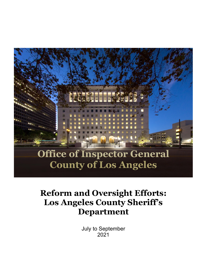

# **Reform and Oversight Efforts: Los Angeles County Sheriff's Department**

July to September 2021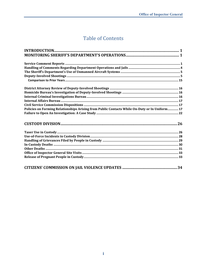## **Table of Contents**

| Policies on Forming Relationships Arising from Public Contacts While On-Duty or In Uniform 17 |  |
|-----------------------------------------------------------------------------------------------|--|
|                                                                                               |  |
|                                                                                               |  |
|                                                                                               |  |
|                                                                                               |  |
|                                                                                               |  |
|                                                                                               |  |
|                                                                                               |  |
|                                                                                               |  |
|                                                                                               |  |
|                                                                                               |  |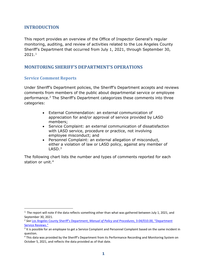## <span id="page-2-0"></span>**INTRODUCTION**

This report provides an overview of the Office of Inspector General's regular monitoring, auditing, and review of activities related to the Los Angeles County Sheriff's Department that occurred from July 1, 2021, through September 30,  $2021.<sup>1</sup>$  $2021.<sup>1</sup>$  $2021.<sup>1</sup>$ 

## <span id="page-2-1"></span>**MONITORING SHERIFF'S DEPARTMENT'S OPERATIONS**

#### <span id="page-2-2"></span>**Service Comment Reports**

Under Sheriff's Department policies, the Sheriff's Department accepts and reviews comments from members of the public about departmental service or employee performance.[2](#page-2-4) The Sheriff's Department categorizes these comments into three categories:

- External Commendation: an external communication of appreciation for and/or approval of service provided by LASD members;
- Service Complaint: an external communication of dissatisfaction with LASD service, procedure or practice, not involving employee misconduct; and
- Personnel Complaint: an external allegation of misconduct, either a violation of law or LASD policy, against any member of  $LASD.<sup>3</sup>$  $LASD.<sup>3</sup>$  $LASD.<sup>3</sup>$

The following chart lists the number and types of comments reported for each station or unit.<sup>[4](#page-2-6)</sup>

<span id="page-2-3"></span> $1$  The report will note if the data reflects something other than what was gathered between July 1, 2021, and September 30, 2021.

<span id="page-2-4"></span><sup>2</sup> *See* [Los Angeles County Sheriff's Department,](http://pars.lasd.org/Viewer/Manuals/10008/Content/10837) *Manual of Policy and Procedures*, 3-04/010.00, "Department [Service Reviews."](http://pars.lasd.org/Viewer/Manuals/10008/Content/10837)

<span id="page-2-5"></span><sup>&</sup>lt;sup>3</sup> It is possible for an employee to get a Service Complaint and Personnel Complaint based on the same incident in question.

<span id="page-2-6"></span><sup>4</sup> This data was provided by the Sheriff's Department from its Performance Recording and Monitoring System on October 5, 2021, and reflects the data provided as of that date.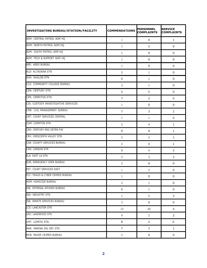| INVESTIGATING BUREAU/STATION/FACILITY | <b>COMMENDATIONS</b> | <b>PERSONNEL</b><br><b>COMPLAINTS</b> | <b>SERVICE</b><br><b>COMPLAINTS</b> |
|---------------------------------------|----------------------|---------------------------------------|-------------------------------------|
| ADM: CENTRAL PATROL ADM HQ            | $\mathbf{1}$         | 0                                     | $\mathbf{1}$                        |
| ADM: NORTH PATROL ADM HQ              | $\mathbf{1}$         | 2                                     | 0                                   |
| ADM: SOUTH PATROL ADM HQ              | $\mathbf{1}$         | 0                                     | 0                                   |
| ADM: TECH & SUPPORT ADM HQ            | 1                    | 0                                     | 0                                   |
| AER: AERO BUREAU                      | $\mathbf{1}$         | 0                                     | 0                                   |
| ALD: ALTADENA STN                     | 5                    | 1                                     | 0                                   |
| <b>AVA: AVALON STN</b>                | 0                    | 1                                     | 0                                   |
| CCS: COMMUNITY COLLEGE BUREAU         | $\overline{2}$       | $\mathbf{1}$                          | 0                                   |
| <b>CEN: CENTURY STN</b>               | 6                    | 6                                     | 0                                   |
| <b>CER: CERRITOS STN</b>              | 7                    | $\overline{2}$                        | 0                                   |
| CIS: CUSTODY INVESTIGATIVE SERVICES   | $\mathbf{1}$         | $\mathbf 0$                           | $\mathbf 0$                         |
| CMB: CVIL MANAGEMENT BUREAU           | $\overline{7}$       | 3                                     | $\overline{2}$                      |
| CNT: COURT SERVICES CENTRAL           | $\mathbf{1}$         | 1                                     | 0                                   |
| <b>COM: COMPTON STN</b>               | $\overline{2}$       | 4                                     | $\mathbf{1}$                        |
| CRD: CENTURY REG DETEN FAC            | 0                    | 0                                     | $\mathbf{1}$                        |
| CRV: CRESCENTA VALLEY STN             | $\overline{2}$       | $\overline{2}$                        | 1                                   |
| CSB: COUNTY SERVICES BUREAU           | $\overline{2}$       | 8                                     | $\mathbf{1}$                        |
| <b>CSN: CARSON STN</b>                | 8                    | 4                                     | $\overline{2}$                      |
| ELA: EAST LA STN                      | $\overline{2}$       | 3                                     | $\overline{2}$                      |
| EOB: EMERGENCY OPER BUREAU            | 2                    | 0                                     | 0                                   |
| EST: COURT SERVICES EAST              | $\mathbf{1}$         | 2                                     | 0                                   |
| FCC: FRAUD & CYBER CRIMES BUREAU      | $1\,$                | $\boldsymbol{0}$                      | $\boldsymbol{0}$                    |
| HOM: HOMICIDE BUREAU                  | $\overline{2}$       | $\mathbf{1}$                          | $\mathbf 0$                         |
| IAB: INTERNAL AFFAIRS BUREAU          | $\mathsf 0$          | $\mathbf{1}$                          | $\mathbf 0$                         |
| <b>IND: INDUSTRY STN</b>              | $\mathbf{1}$         | 5                                     | 3                                   |
| ISB: INMATE SERVICES BUREAU           | 3                    | $\mathbf 0$                           | $\mathbf 0$                         |
| <b>LCS: LANCASTER STN</b>             | 13                   | 20                                    | 4                                   |
| LKO: LAKEWOOD STN                     | 9                    | 2                                     | 2                                   |
| LMT: LOMITA STN                       | 8                    | $\overline{2}$                        | 0                                   |
| MAR: MARINA DEL REY STN               | 7                    | 3                                     | $\mathbf{1}$                        |
| MCB: MAJOR CRJMES BUREAU              | $\mathbf{1}$         | 0                                     | 0                                   |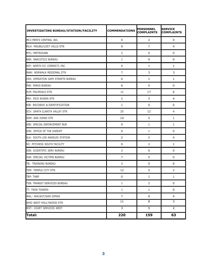| <b>INVESTIGATING BUREAU/STATION/FACILITY</b> | <b>COMMENDATIONS</b> | <b>PERSONNEL</b><br><b>COMPLAINTS</b> | <b>SERVICE</b><br><b>COMPLAINTS</b> |
|----------------------------------------------|----------------------|---------------------------------------|-------------------------------------|
| MCJ: MEN'S CENTRAL JAIL                      | 0                    | 2                                     | 0                                   |
| MLH: MAUBU/LOST HILLS STN                    | 8                    | $\overline{7}$                        | 4                                   |
| <b>MTL: METROUNK</b>                         | $\overline{2}$       | $\mathbf 0$                           | 0                                   |
| NAR: NARCOTICS BUREAU                        | 1                    | 0                                     | $\mathbf 0$                         |
| NCF: NORTH CO. CORRECTL FAC                  | 0                    | 1                                     | 1                                   |
| NWK: NORWALK REGIONAL STN                    | $\overline{7}$       | 3                                     | 3                                   |
| OSS: OPERATION SAFE STREETS BUREAU           | 0                    | 1                                     | $\mathbf{1}$                        |
| PKB: PARKS BUREAU                            | 6                    | 0                                     | 0                                   |
| <b>PLM: PALMDALE STN</b>                     | 12                   | 17                                    | 6                                   |
| PRV: PICO RIVERA STN                         | 2                    | 3                                     | 4                                   |
| RIB: RECORDS & IDENTIFICATION                | 1                    | $\mathbf 0$                           | 0                                   |
| SCV: SANTA CLARITA VALLEY STN                | 25                   | 12                                    | 4                                   |
| <b>SDM: SAN DIMAS STN</b>                    | 10                   | 5                                     | 1                                   |
| SEB: SPECIAL ENFORCEMENT BUR                 | 0                    | $\mathbf{1}$                          | 1                                   |
| SHR: OFFICE OF THE SHERIFF                   | 0                    | 1                                     | 0                                   |
| SLA: SOUTH LOS ANGELES STATION               | $\overline{2}$       | $\overline{2}$                        | 4                                   |
| SO: PITCHESS SOUTH FACILITY                  | 0                    | 2                                     | 1                                   |
| SSB: SCIENTIFIC SERV BUREAU                  | $\overline{2}$       | 0                                     | 0                                   |
| SVB: SPECIAL VICTIMS BUREAU                  | 7                    | 0                                     | 0                                   |
| TB: TRAINING BUREAU                          | 2                    | 0                                     | 0                                   |
| TEM: TEMPLE CITY STN                         | 12                   | 5                                     | 2                                   |
| TRP: TARP                                    | $\mathbf 0$          | $\mathbf 1$                           | $1\,$                               |
| TSB: TRANSIT SERVICES BUREAU                 | $\mathbf{1}$         | 2                                     | $\boldsymbol{0}$                    |
| TT: TWIN TOWERS                              | $\mathbf{1}$         | $\mathbf{1}$                          | $\mathbf 0$                         |
| WAL: WALNUT/SAN DIMAS                        | $\overline{7}$       | 6                                     | 4                                   |
| WHO WEST HOLLYWOOD STN                       | 11                   | 8                                     | $\overline{3}$                      |
| WST: COURT SERVICES WEST                     | $\overline{3}$       | $\overline{5}$                        | $\overline{2}$                      |
| Total:                                       | 220                  | 159                                   | 63                                  |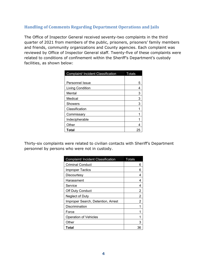## <span id="page-5-0"></span>**Handling of Comments Regarding Department Operations and Jails**

The Office of Inspector General received seventy-two complaints in the third quarter of 2021 from members of the public, prisoners, prisoners' family members and friends, community organizations and County agencies. Each complaint was reviewed by Office of Inspector General staff. Twenty-five of these complaints were related to conditions of confinement within the Sheriff's Department's custody facilities, as shown below:

| Complaint/ Incident Classification | <b>Totals</b> |
|------------------------------------|---------------|
|                                    |               |
| Personnel Issue                    | 5             |
| Living Condition                   | 4             |
| Mental                             | 3             |
| Medical                            | 3             |
| <b>Showers</b>                     | 3             |
| Classification                     |               |
| Commissary                         |               |
| Indecipherable                     |               |
| Other                              |               |
| Total                              | 25            |

Thirty-six complaints were related to civilian contacts with Sheriff's Department personnel by persons who were not in custody.

| Complaint/ Incident Classification | <b>Totals</b> |
|------------------------------------|---------------|
| <b>Criminal Conduct</b>            | ค             |
| <b>Improper Tactics</b>            | 6             |
| Discourtesy                        | 4             |
| Harassment                         | 4             |
| Service                            | 4             |
| Off Duty Conduct                   | 2             |
| Neglect of Duty                    | 2             |
| Improper Search, Detention, Arrest | 2             |
| Discrimination                     |               |
| Force                              |               |
| <b>Operation of Vehicles</b>       |               |
| Other                              | з             |
| Total                              | 36            |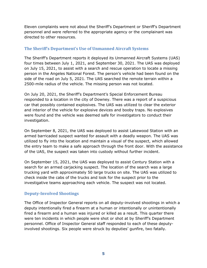Eleven complaints were not about the Sheriff's Department or Sheriff's Department personnel and were referred to the appropriate agency or the complainant was directed to other resources.

## <span id="page-6-0"></span>**The Sheriff's Department's Use of Unmanned Aircraft Systems**

The Sheriff's Department reports it deployed its Unmanned Aircraft Systems (UAS) four times between July 1, 2021, and September 30, 2021. The UAS was deployed on July 15, 2021, to assist with a search and rescue operation to locate a missing person in the Angeles National Forest. The person's vehicle had been found on the side of the road on July 5, 2021. The UAS searched the remote terrain within a 2500-mile radius of the vehicle. The missing person was not located.

On July 20, 2021, the Sheriff's Department's Special Enforcement Bureau responded to a location in the city of Downey. There was a report of a suspicious car that possibly contained explosives. The UAS was utilized to clear the exterior and interior of the vehicle for explosive devices and booby traps. No explosives were found and the vehicle was deemed safe for investigators to conduct their investigation.

On September 8, 2021, the UAS was deployed to assist Lakewood Station with an armed barricaded suspect wanted for assault with a deadly weapon. The UAS was utilized to fly into the location and maintain a visual of the suspect, which allowed the entry team to make a safe approach through the front door. With the assistance of the UAS, the suspect was taken into custody without further incident.

On September 15, 2021, the UAS was deployed to assist Century Station with a search for an armed carjacking suspect. The location of the search was a large trucking yard with approximately 50 large trucks on site. The UAS was utilized to check inside the cabs of the trucks and look for the suspect prior to the investigative teams approaching each vehicle. The suspect was not located.

## <span id="page-6-1"></span>**Deputy-Involved Shootings**

The Office of Inspector General reports on all deputy-involved shootings in which a deputy intentionally fired a firearm at a human or intentionally or unintentionally fired a firearm and a human was injured or killed as a result. This quarter there were ten incidents in which people were shot or shot at by Sheriff's Department personnel. Office of Inspector General staff responded to each of these deputyinvolved shootings. Six people were struck by deputies' gunfire, two fatally.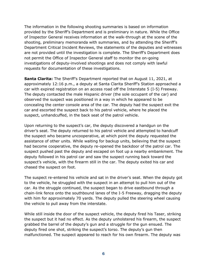The information in the following shooting summaries is based on information provided by the Sheriff's Department and is preliminary in nature. While the Office of Inspector General receives information at the walk-through at the scene of the shooting, preliminary memoranda with summaries, and by attending the Sheriff's Department Critical Incident Reviews, the statements of the deputies and witnesses are not provided until the investigation is complete. The Sheriff's Department does not permit the Office of Inspector General staff to monitor the on-going investigations of deputy-involved shootings and does not comply with lawful requests for documentation of these investigations.

**Santa Clarita:** The Sheriff's Department reported that on August 11, 2021, at approximately 12:16 p.m., a deputy at Santa Clarita Sheriff's Station approached a car with expired registration on an access road off the Interstate 5 (I-5) Freeway. The deputy contacted the male Hispanic driver (the sole occupant of the car) and observed the suspect was positioned in a way in which he appeared to be concealing the center console area of the car. The deputy had the suspect exit the car and escorted the suspect back to his patrol vehicle, where he placed the suspect, unhandcuffed, in the back seat of the patrol vehicle.

Upon returning to the suspect's car, the deputy discovered a handgun on the driver's seat. The deputy returned to his patrol vehicle and attempted to handcuff the suspect who became uncooperative, at which point the deputy requested the assistance of other units. While waiting for backup units, believing that the suspect had become cooperative, the deputy re-opened the backdoor of the patrol car. The suspect pushed past the deputy and escaped on foot up a nearby embankment. The deputy followed in his patrol car and saw the suspect running back toward the suspect's vehicle, with the firearm still in the car. The deputy exited his car and chased the suspect on foot.

The suspect re-entered his vehicle and sat in the driver's seat. When the deputy got to the vehicle, he struggled with the suspect in an attempt to pull him out of the car. As the struggle continued, the suspect began to drive eastbound through a chain-link fence onto the southbound lanes of the I-5 Freeway, dragging the deputy with him for approximately 70 yards. The deputy pulled the steering wheel causing the vehicle to pull away from the interstate.

While still inside the door of the suspect vehicle, the deputy fired his Taser, striking the suspect but it had no effect. As the deputy unholstered his firearm, the suspect grabbed the barrel of the deputy's gun and a struggle for the gun ensued. The deputy fired one shot, striking the suspect's torso. The deputy's gun then malfunctioned. The suspect appeared to reach for his own firearm. The deputy was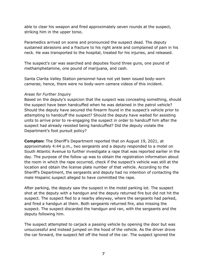able to clear his weapon and fired approximately seven rounds at the suspect, striking him in the upper torso.

Paramedics arrived on scene and pronounced the suspect dead. The deputy sustained abrasions and a fracture to his right ankle and complained of pain in his neck. He was transported to the hospital, treated for his injuries, and released.

The suspect's car was searched and deputies found three guns, one pound of methamphetamine, one pound of marijuana, and cash.

Santa Clarita Valley Station personnel have not yet been issued body-worn cameras; hence, there were no body-worn camera videos of this incident.

#### *Areas for Further Inquiry*

Based on the deputy's suspicion that the suspect was concealing something, should the suspect have been handcuffed when he was detained in the patrol vehicle? Should the deputy have secured the firearm found in the suspect's vehicle prior to attempting to handcuff the suspect? Should the deputy have waited for assisting units to arrive prior to re-engaging the suspect in order to handcuff him after the suspect had already resisted being handcuffed? Did the deputy violate the Department's foot pursuit policy?

**Compton:** The Sheriff's Department reported that on August 19, 2021, at approximately 4:44 p.m., two sergeants and a deputy responded to a motel on South Atlantic Avenue to further investigate a rape that was reported earlier in the day. The purpose of the follow up was to obtain the registration information about the room in which the rape occurred, check if the suspect's vehicle was still at the location and obtain the license plate number of that vehicle. According to the Sheriff's Department, the sergeants and deputy had no intention of contacting the male Hispanic suspect alleged to have committed the rape.

After parking, the deputy saw the suspect in the motel parking lot. The suspect shot at the deputy with a handgun and the deputy returned fire but did not hit the suspect. The suspect fled to a nearby alleyway, where the sergeants had parked, and fired a handgun at them. Both sergeants returned fire, also missing the suspect. The suspect discarded the handgun and ran, with the sergeants and the deputy following him.

The suspect attempted to carjack a passing vehicle by opening the door but was unsuccessful and instead jumped on the hood of the vehicle. As the driver drove the car forward, the suspect fell off the hood of the car. The suspect ignored the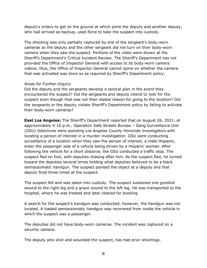deputy's orders to get on the ground at which point the deputy and another deputy, who had arrived as backup, used force to take the suspect into custody.

The shooting was only partially captured by one of the sergeant's body-worn cameras as the deputy and the other sergeant did not turn on their body-worn camera when they saw the suspect. Portions of the video were shown at the Sheriff's Department's Critical Incident Review. The Sheriff's Department has not provided the Office of Inspector General with access to its body-worn camera videos; thus, the Office of Inspector General cannot opine on whether the camera that was activated was done so as required by Sheriff's Department policy.

#### *Areas for Further Inquiry*

Did the deputy and the sergeants develop a tactical plan in the event they encountered the suspect? Did the sergeants and deputy intend to look for the suspect even though that was not their stated reason for going to the location? Did the sergeants or the deputy violate Sheriff's Department policy by failing to activate their body-worn cameras?

**East Los Angeles:** The Sheriff's Department reported that on August 26, 2021, at approximately 4:10 p.m., Operation Safe Streets Bureau – Gang Surveillance Unit (GSU) detectives were assisting Los Angeles County Homicide investigators with locating a person of interest in a murder investigation. GSU were conducting surveillance of a location when they saw the person of interest, a male Hispanic, enter the passenger side of a vehicle being driven by a Hispanic woman. After following the vehicle for a short distance, the GSU conducted a traffic stop. The suspect fled on foot, with deputies chasing after him. As the suspect fled, he turned toward the deputies several times holding what deputies believed to be a black semiautomatic handgun. The suspect pointed the object at a deputy and that deputy fired three times at the suspect.

The suspect fell and was taken into custody. The suspect sustained one gunshot wound to the right leg and a graze wound to the left leg. He was transported to the hospital, where he was treated and later cleared for booking.

A search for the suspect's handgun was conducted; however, the handgun was not located. A loaded semiautomatic handgun was recovered from inside the vehicle in which the suspect was a passenger.

The deputies did not have body-worn cameras. The incident was captured on a security camera.

The deputy who shot and wounded the suspect, has had prior shootings.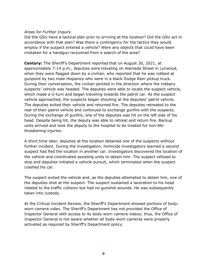#### *Areas for Further Inquiry*

Did the GSU have a tactical plan prior to arriving at the location? Did the GSU act in accordance with that plan? Was there a contingency for the tactics they would employ if the suspect entered a vehicle? Were any objects that could have been mistaken for a handgun recovered from a search of the area?

**Century:** The Sheriff's Department reported that on August 30, 2021, at approximately 7:14 p.m., deputies were traveling on Alameda Street in Lynwood, when they were flagged down by a civilian, who reported that he was robbed at gunpoint by two male Hispanics who were in a black Dodge Ram pickup truck. During their conversation, the civilian pointed in the direction where the robbery suspects' vehicle was headed. The deputies were able to locate the suspect vehicle, which made a U-turn and began traveling towards the patrol car. As the suspect vehicle approached, the suspects began shooting at the deputies' patrol vehicle. The deputies exited their vehicle and returned fire. The deputies retreated to the rear of their patrol vehicle and continued to exchange gunfire with the suspects. During the exchange of gunfire, one of the deputies was hit on the left side of his head. Despite being hit, the deputy was able to retreat and return fire. Backup units arrived and took the deputy to the hospital to be treated for non-lifethreatening injuries.

A short time later, deputies at the location detained one of the suspects without further incident. During the investigation, homicide investigators learned a second suspect had fled the location in another car. Investigators discovered the location of the vehicle and coordinated assisting units to detain him. The suspect refused to stop and deputies initiated a vehicle pursuit, which terminated when the suspect crashed his car.

The suspect exited the vehicle and, as the deputies attempted to detain him, one of the deputies shot at the suspect. The suspect sustained a laceration to his head related to the traffic collision but had no gunshot wounds. He was subsequently taken into custody.

At the Critical Incident Review, the Sheriff's Department showed portions of bodyworn camera video. The Sheriff's Department has not provided the Office of Inspector General with access to its body-worn camera videos; thus, the Office of Inspector General is not aware whether all body-worn cameras were properly activated as required by Sheriff's Department policy.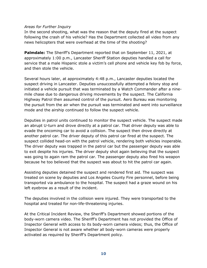#### *Areas for Further Inquiry*

In the second shooting, what was the reason that the deputy fired at the suspect following the crash of his vehicle? Has the Department collected all video from any news helicopters that were overhead at the time of the shooting?

**Palmdale:** The Sheriff's Department reported that on September 11, 2021, at approximately 1:00 p.m., Lancaster Sheriff Station deputies handled a call for service that a male Hispanic stole a victim's cell phone and vehicle key fob by force, and then stole the vehicle.

Several hours later, at approximately 4:48 p.m., Lancaster deputies located the suspect driving in Lancaster. Deputies unsuccessfully attempted a felony stop and initiated a vehicle pursuit that was terminated by a Watch Commander after a ninemile chase due to dangerous driving movements by the suspect. The California Highway Patrol then assumed control of the pursuit. Aero Bureau was monitoring the pursuit from the air when the pursuit was terminated and went into surveillance mode and the airship continued to follow the suspect vehicle.

Deputies in patrol units continued to monitor the suspect vehicle. The suspect made an abrupt U-turn and drove directly at a patrol car. That driver deputy was able to evade the oncoming car to avoid a collision. The suspect then drove directly at another patrol car. The driver deputy of this patrol car fired at the suspect. The suspect collided head-on with the patrol vehicle, rendering both vehicles inoperable. The driver deputy was trapped in the patrol car but the passenger deputy was able to exit despite his injuries. The driver deputy shot again believing that the suspect was going to again ram the patrol car. The passenger deputy also fired his weapon because he too believed that the suspect was about to hit the patrol car again.

Assisting deputies detained the suspect and rendered first aid. The suspect was treated on scene by deputies and Los Angeles County Fire personnel, before being transported via ambulance to the hospital. The suspect had a graze wound on his left eyebrow as a result of the incident.

The deputies involved in the collision were injured. They were transported to the hospital and treated for non-life-threatening injuries.

At the Critical Incident Review, the Sheriff's Department showed portions of the body-worn camera video. The Sheriff's Department has not provided the Office of Inspector General with access to its body-worn camera videos; thus, the Office of Inspector General is not aware whether all body-worn cameras were properly activated as required by Sheriff's Department policy.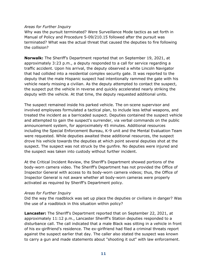#### *Areas for Further Inquiry*

Why was the pursuit terminated? Were Surveillance Mode tactics as set forth in Manual of Policy and Procedure 5-09/210.15 followed after the pursuit was terminated? What was the actual threat that caused the deputies to fire following the collision?

**Norwalk:** The Sheriff's Department reported that on September 19, 2021, at approximately 3:23 p.m., a deputy responded to a call for service regarding a traffic accident. Upon his arrival, the deputy observed a white Lincoln Navigator that had collided into a residential complex security gate. It was reported to the deputy that the male Hispanic suspect had intentionally rammed the gate with his vehicle nearly missing a civilian. As the deputy attempted to contact the suspect, the suspect put the vehicle in reverse and quickly accelerated nearly striking the deputy with the vehicle. At that time, the deputy requested additional units.

The suspect remained inside his parked vehicle. The on-scene supervisor and involved employees formulated a tactical plan, to include less lethal weapons, and treated the incident as a barricaded suspect. Deputies contained the suspect vehicle and attempted to gain the suspect's surrender, via verbal commands on the public announcement system, for approximately 45 minutes. Additional resources including the Special Enforcement Bureau, K-9 unit and the Mental Evaluation Team were requested. While deputies awaited these additional resources, the suspect drove his vehicle towards the deputies at which point several deputies shot at the suspect. The suspect was not struck by the gunfire. No deputies were injured and the suspect was taken into custody without further incident.

At the Critical Incident Review, the Sheriff's Department showed portions of the body-worn camera video. The Sheriff's Department has not provided the Office of Inspector General with access to its body-worn camera videos; thus, the Office of Inspector General is not aware whether all body-worn cameras were properly activated as required by Sheriff's Department policy.

#### *Areas for Further Inquiry*

Did the way the roadblock was set up place the deputies or civilians in danger? Was the use of a roadblock in this situation within policy?

**Lancaster:** The Sheriff's Department reported that on September 22, 2021, at approximately 11:12 p.m., Lancaster Sheriff's Station deputies responded to a disturbance call. The call indicated that a male Black was sitting in a vehicle in front of his ex-girlfriend's residence. The ex-girlfriend had filed a criminal threats report against the suspect earlier that day. The caller also stated the suspect was known to carry a gun and made statements about "shooting it out" with law enforcement.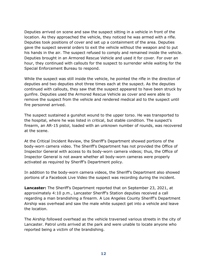Deputies arrived on scene and saw the suspect sitting in a vehicle in front of the location. As they approached the vehicle, they noticed he was armed with a rifle. Deputies took positions of cover and set up a containment of the area. Deputies gave the suspect several orders to exit the vehicle without the weapon and to put his hands in the air. The suspect refused to comply and remained inside the vehicle. Deputies brought in an Armored Rescue Vehicle and used it for cover. For over an hour, they continued with callouts for the suspect to surrender while waiting for the Special Enforcement Bureau to respond.

While the suspect was still inside the vehicle, he pointed the rifle in the direction of deputies and two deputies shot three times each at the suspect. As the deputies continued with callouts, they saw that the suspect appeared to have been struck by gunfire. Deputies used the Armored Rescue Vehicle as cover and were able to remove the suspect from the vehicle and rendered medical aid to the suspect until fire personnel arrived.

The suspect sustained a gunshot wound to the upper torso. He was transported to the hospital, where he was listed in critical, but stable condition. The suspect's firearm, an AR-15 pistol, loaded with an unknown number of rounds, was recovered at the scene.

At the Critical Incident Review, the Sheriff's Department showed portions of the body-worn camera video. The Sheriff's Department has not provided the Office of Inspector General with access to its body-worn camera videos; thus, the Office of Inspector General is not aware whether all body-worn cameras were properly activated as required by Sheriff's Department policy.

In addition to the body-worn camera videos, the Sheriff's Department also showed portions of a Facebook Live Video the suspect was recording during the incident.

**Lancaster:** The Sheriff's Department reported that on September 23, 2021, at approximately 4:10 p.m., Lancaster Sheriff's Station deputies received a call regarding a man brandishing a firearm. A Los Angeles County Sheriff's Department Airship was overhead and saw the male white suspect get into a vehicle and leave the location.

The Airship followed overhead as the vehicle traversed various streets in the city of Lancaster. Patrol units arrived at the park and were unable to locate anyone who reported being a victim of the brandishing.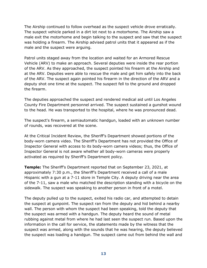The Airship continued to follow overhead as the suspect vehicle drove erratically. The suspect vehicle parked in a dirt lot next to a motorhome. The Airship saw a male exit the motorhome and begin talking to the suspect and saw that the suspect was holding a firearm. The Airship advised patrol units that it appeared as if the male and the suspect were arguing.

Patrol units staged away from the location and waited for an Armored Rescue Vehicle (ARV) to make an approach. Several deputies were inside the rear portion of the ARV. As they approached, the suspect pointed his firearm at the Airship and at the ARV. Deputies were able to rescue the male and get him safely into the back of the ARV. The suspect again pointed his firearm in the direction of the ARV and a deputy shot one time at the suspect. The suspect fell to the ground and dropped the firearm.

The deputies approached the suspect and rendered medical aid until Los Angeles County Fire Department personnel arrived. The suspect sustained a gunshot wound to the head. He was transported to the hospital, where he was pronounced dead.

The suspect's firearm, a semiautomatic handgun, loaded with an unknown number of rounds, was recovered at the scene.

At the Critical Incident Review, the Sheriff's Department showed portions of the body-worn camera video. The Sheriff's Department has not provided the Office of Inspector General with access to its body-worn camera videos; thus, the Office of Inspector General is not aware whether all body-worn cameras were properly activated as required by Sheriff's Department policy.

**Temple:** The Sheriff's Department reported that on September 23, 2021, at approximately 7:30 p.m., the Sheriff's Department received a call of a male Hispanic with a gun at a 7-11 store in Temple City. A deputy driving near the area of the 7-11, saw a male who matched the description standing with a bicycle on the sidewalk. The suspect was speaking to another person in front of a motel.

The deputy pulled up to the suspect, exited his radio car, and attempted to detain the suspect at gunpoint. The suspect ran from the deputy and hid behind a nearby wall. The person with whom the suspect had been speaking, told the deputy that the suspect was armed with a handgun. The deputy heard the sound of metal rubbing against metal from where he had last seen the suspect run. Based upon the information in the call for service, the statements made by the witness that the suspect was armed, along with the sounds that he was hearing, the deputy believed the suspect was loading a handgun. The suspect came out from behind the wall and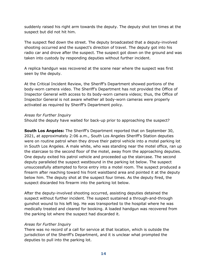suddenly raised his right arm towards the deputy. The deputy shot ten times at the suspect but did not hit him.

The suspect fled down the street. The deputy broadcasted that a deputy-involved shooting occurred and the suspect's direction of travel. The deputy got into his radio car and drove after the suspect. The suspect got down on the ground and was taken into custody by responding deputies without further incident.

A replica handgun was recovered at the scene near where the suspect was first seen by the deputy.

At the Critical Incident Review, the Sheriff's Department showed portions of the body-worn camera video. The Sheriff's Department has not provided the Office of Inspector General with access to its body-worn camera videos; thus, the Office of Inspector General is not aware whether all body-worn cameras were properly activated as required by Sheriff's Department policy.

#### *Areas for Further Inquiry*

Should the deputy have waited for back-up prior to approaching the suspect?

**South Los Angeles:** The Sheriff's Department reported that on September 30, 2021, at approximately 2:06 a.m., South Los Angeles Sheriff's Station deputies were on routine patrol when they drove their patrol vehicle into a motel parking lot in South Los Angeles. A male white, who was standing near the motel office, ran up the staircase to the second floor of the motel, away from the approaching deputies. One deputy exited his patrol vehicle and proceeded up the staircase. The second deputy paralleled the suspect westbound in the parking lot below. The suspect unsuccessfully attempted to force entry into a motel room. The suspect produced a firearm after reaching toward his front waistband area and pointed it at the deputy below him. The deputy shot at the suspect four times. As the deputy fired, the suspect discarded his firearm into the parking lot below.

After the deputy-involved shooting occurred, assisting deputies detained the suspect without further incident. The suspect sustained a through-and-through gunshot wound to his left leg. He was transported to the hospital where he was medically treated and cleared for booking. A loaded handgun was recovered from the parking lot where the suspect had discarded it.

#### *Areas for Further Inquiry*

There was no record of a call for service at that location, which is outside the jurisdiction of the Sheriff's Department, and it is unclear what prompted the deputies to pull into the parking lot.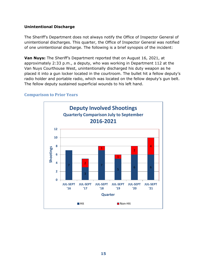#### **Unintentional Discharge**

The Sheriff's Department does not always notify the Office of Inspector General of unintentional discharges. This quarter, the Office of Inspector General was notified of one unintentional discharge. The following is a brief synopsis of the incident:

**Van Nuys:** The Sheriff's Department reported that on August 16, 2021, at approximately 2:33 p.m., a deputy, who was working in Department 112 at the Van Nuys Courthouse West, unintentionally discharged his duty weapon as he placed it into a gun locker located in the courtroom. The bullet hit a fellow deputy's radio holder and portable radio, which was located on the fellow deputy's gun belt. The fellow deputy sustained superficial wounds to his left hand.

#### <span id="page-16-0"></span>**Comparison to Prior Years**

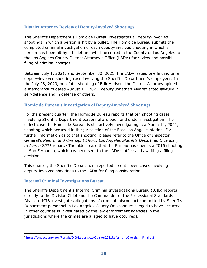## <span id="page-17-0"></span>**District Attorney Review of Deputy-Involved Shootings**

The Sheriff's Department's Homicide Bureau investigates all deputy-involved shootings in which a person is hit by a bullet. The Homicide Bureau submits the completed criminal investigation of each deputy-involved shooting in which a person has been hit by a bullet and which occurred in the County of Los Angeles to the Los Angeles County District Attorney's Office (LADA) for review and possible filing of criminal charges.

Between July 1, 2021, and September 30, 2021, the LADA issued one finding on a deputy-involved shooting case involving the Sheriff's Department's employees. In the July 28, 2020, non-fatal shooting of Erik Hudson, the District Attorney opined in a memorandum dated August 11, 2021, deputy Jonathan Alvarez acted lawfully in self-defense and in defense of others.

## <span id="page-17-1"></span>**Homicide Bureau's Investigation of Deputy-Involved Shootings**

For the present quarter, the Homicide Bureau reports that ten shooting cases involving Sheriff's Department personnel are open and under investigation. The oldest case the Homicide Bureau is still actively investigating is a March 14, 2021, shooting which occurred in the jurisdiction of the East Los Angeles station. For further information as to that shooting, please refer to the Office of Inspector General's *Reform and Oversight Effort: Los Angeles Sheriff's Department, January to March 2021* report*.*[5](#page-17-3) The oldest case that the Bureau has open is a 2016 shooting in San Fernando, which has been sent to the LADA's office and awaiting a filing decision.

This quarter, the Sheriff's Department reported it sent seven cases involving deputy-involved shootings to the LADA for filing consideration.

## <span id="page-17-2"></span>**Internal Criminal Investigations Bureau**

The Sheriff's Department's Internal Criminal Investigations Bureau (ICIB) reports directly to the Division Chief and the Commander of the Professional Standards Division. ICIB investigates allegations of criminal misconduct committed by Sheriff's Department personnel in Los Angeles County (misconduct alleged to have occurred in other counties is investigated by the law enforcement agencies in the jurisdictions where the crimes are alleged to have occurred).

<span id="page-17-3"></span><sup>5</sup> [https://oig.lacounty.gov/Portals/OIG/Reports/1stQuarter2021ReformandOversight\\_Final.pdf](https://oig.lacounty.gov/Portals/OIG/Reports/1stQuarter2021ReformandOversight_Final.pdf)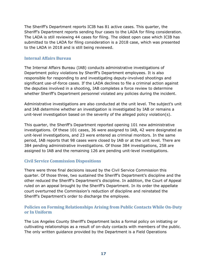The Sheriff's Department reports ICIB has 81 active cases. This quarter, the Sheriff's Department reports sending four cases to the LADA for filing consideration. The LADA is still reviewing 44 cases for filing. The oldest open case which ICIB has submitted to the LADA for filing consideration is a 2018 case, which was presented to the LADA in 2018 and is still being reviewed.

#### <span id="page-18-0"></span>**Internal Affairs Bureau**

The Internal Affairs Bureau (IAB) conducts administrative investigations of Department policy violations by Sheriff's Department employees. It is also responsible for responding to and investigating deputy-involved shootings and significant use-of-force cases. If the LADA declines to file a criminal action against the deputies involved in a shooting, IAB completes a force review to determine whether Sheriff's Department personnel violated any policies during the incident.

Administrative investigations are also conducted at the unit level. The subject's unit and IAB determine whether an investigation is investigated by IAB or remains a unit-level investigation based on the severity of the alleged policy violation(s).

This quarter, the Sheriff's Department reported opening 101 new administrative investigations. Of these 101 cases, 36 were assigned to IAB, 42 were designated as unit-level investigations, and 23 were entered as criminal monitors. In the same period, IAB reports that 98 cases were closed by IAB or at the unit level. There are 384 pending administrative investigations. Of those 384 investigations, 258 are assigned to IAB and the remaining 126 are pending unit-level investigations.

## <span id="page-18-1"></span>**Civil Service Commission Dispositions**

There were three final decisions issued by the Civil Service Commission this quarter. Of those three, two sustained the Sheriff's Department's discipline and the other reduced the Sheriff's Department's discipline. In addition, the Court of Appeal ruled on an appeal brought by the Sheriff's Department. In its order the appellate court overturned the Commission's reduction of discipline and reinstated the Sheriff's Department's order to discharge the employee.

## <span id="page-18-2"></span>**Policies on Forming Relationships Arising from Public Contacts While On-Duty or In Uniform**

The Los Angeles County Sheriff's Department lacks a formal policy on initiating or cultivating relationships as a result of on-duty contacts with members of the public. The only written guidance provided by the Department is a Field Operations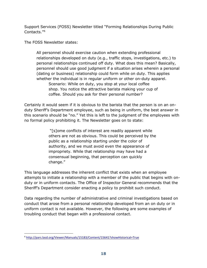Support Services (FOSS) Newsletter titled "Forming Relationships During Public Contacts."[6](#page-19-0)

The FOSS Newsletter states:

All personnel should exercise caution when extending professional relationships developed on duty (e.g., traffic stops, investigations, etc.) to personal relationships continued off duty. What does this mean? Basically, personnel should use good judgment if a situation arises wherein a personal (dating or business) relationship could form while on duty. This applies whether the individual is in regular uniform or other on-duty apparel. Scenario: While on duty, you stop at your local coffee shop. You notice the attractive barista making your cup of coffee. Should you ask for their personal number?

Certainly it would seem if it is obvious to the barista that the person is on an onduty Sheriff's Department employee, such as being in uniform, the best answer in this scenario should be "no." Yet this is left to the judgment of the employees with no formal policy prohibiting it. The Newsletter goes on to state:

> "[s]ome conflicts of interest are readily apparent while others are not as obvious. This could be perceived by the public as a relationship starting under the color of authority, and we must avoid even the appearance of impropriety. While that relationship may have had a consensual beginning, that perception can quickly change."

This language addresses the inherent conflict that exists when an employee attempts to initiate a relationship with a member of the public that begins with onduty or in uniform contacts. The Office of Inspector General recommends that the Sheriff's Department consider enacting a policy to prohibit such conduct.

Data regarding the number of administrative and criminal investigations based on conduct that arose from a personal relationship developed from an on duty or in uniform contact is not available. However, the following are some examples of troubling conduct that began with a professional contact.

<span id="page-19-0"></span><sup>6</sup> <http://pars.lasd.org/Viewer/Manuals/15183/Content/15641?showHistorical=True>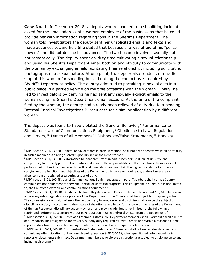**Case No. 1**: In December 2018, a deputy who responded to a shoplifting incident, asked for the email address of a woman employee of the business so that he could provide her with information regarding jobs in the Sheriff's Department. The woman told investigators the deputy sent her unsolicited emails and texts and made advances toward her. She stated that because she was afraid of his "police powers" she did not decline his advances. The two became involved sexually but not romantically. The deputy spent on-duty time cultivating a sexual relationship and using his Sheriff's Department email both on and off-duty to communicate with the woman by exchanging emails facilitating their relationship, including solicitating photographs of a sexual nature. At one point, the deputy also conducted a traffic stop of this woman for speeding but did not log the contact as is required by Sheriff's Department policy. The deputy admitted to partaking in sexual acts in a public place in a parked vehicle on multiple occasions with the woman. Finally, he lied to investigators by denying he had sent any sexually explicit emails to the woman using his Sheriff's Department email account. At the time of the complaint filed by the woman, the deputy had already been relieved of duty due to a pending Internal Criminal Investigations Bureau case for a similar allegation by a different woman.

The deputy was found to have violated the General Behavior,<sup>[7](#page-20-0)</sup> Performance to Standards,<sup>[8](#page-20-1)</sup> Use of Communications Equipment,<sup>[9](#page-20-2)</sup> Obedience to Laws Regulations and Orders,<sup>[10](#page-20-3)</sup> Duties of all Members,<sup>[11](#page-20-4)</sup> Dishonesty/False Statements,<sup>12</sup> Honesty

<span id="page-20-0"></span> $7$  MPP section 3-01/030.50, General Behavior states in part: "A member shall not act or behave while on or off duty in such a manner as to bring discredit upon himself or the Department."

<span id="page-20-1"></span><sup>8</sup> MPP section 3-01/030.50, Performance to Standards states in part: "Members shall maintain sufficient competency to properly perform their duties and assume the responsibilities of their positions. Members shall perform their duties in a manner which will tend to establish and maintain the highest standard of efficiency in carrying out the functions and objectives of the Department… Absence without leave; and/or Unnecessary absence from an assigned area during a tour of duty."

<span id="page-20-2"></span><sup>9</sup> MPP section 3-01/100.45, Use of Communications Equipment states in part: "Members shall not use County communications equipment for personal, social, or unofficial purposes. This equipment includes, but is not limited to, the County's electronic and communications equipment."

<span id="page-20-3"></span><sup>&</sup>lt;sup>10</sup> MPP section 3-01/030.10, Obedience to Laws, Regulations and Orders states in relevant part "(e) Members who violate any rules, regulations, or policies of the Department or the County, shall be subject to disciplinary action. The commission or omission of any other act contrary to good order and discipline shall also be the subject of disciplinary action; … According to the nature of the offense and in conformance with the rules of the Department of Human Resources, disciplinary action may result and may include, but is not limited to, the following: a reprimand (written); suspension without pay; reduction in rank; and/or dismissal from the Department."

<span id="page-20-4"></span><sup>&</sup>lt;sup>11</sup> MPP section 3-01/050.20, Duties of all Members states: "All Department members shall: Carry out specific duties and responsibilities assigned to them; Carry out any duty required by lawful order; and Within a reasonable time, report and/or take proper action in any situation encountered which requires police action."

<span id="page-20-5"></span><sup>&</sup>lt;sup>12</sup> MPP section 3-01/040.70, Dishonesty/False Statements states: "Members shall not make false statements or commit any other violations of the honesty policy, section 3- 01/040.69, when questioned, interviewed, or in reports or documents submitted. Department members who violate this section are subject to discipline up to and including discharge."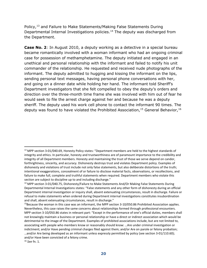Policy,<sup>[13](#page-21-0)</sup> and Failure to Make Statements/Making False Statements During Departmental Internal Investigations policies.[14](#page-21-1) The deputy was discharged from the Department.

**Case No. 2**: In August 2010, a deputy working as a detective in a special bureau became romantically involved with a woman informant who had an ongoing criminal case for possession of methamphetamine. The deputy initiated and engaged in an unethical and personal relationship with the informant and failed to notify his unit commander of the relationship. He requested and received nude photographs of the informant. The deputy admitted to hugging and kissing the informant on the lips, sending personal text messages, having personal phone conversations with her, and going on a dinner date while holding her hand. The informant told Sheriff's Department investigators that she felt compelled to obey the deputy's orders and direction over the three-month time frame she was involved with him out of fear he would seek to file the arrest charge against her and because he was a deputy sheriff. The deputy used his work cell phone to contact the informant 90 times. The deputy was found to have violated the Prohibited Association,  $15$  General Behavior,  $16$ 

<span id="page-21-0"></span><sup>&</sup>lt;sup>13</sup> MPP section 3-01/040.69, Honesty Policy states: "Department members are held to the highest standards of integrity and ethics. In particular, honesty and trustworthiness are of paramount importance to the credibility and integrity of all Department members. Honesty and maintaining the trust of those we serve depend on candor, forthrightness, sincerity, and accuracy. Dishonesty destroys trust and violates Department policy. Examples of dishonesty and violations of trust include not only false statements, but also deliberate distortions of the truth; intentional exaggerations, concealment of or failure to disclose material facts, observations, or recollections, and failure to make full, complete and truthful statements when required. Department members who violate this section are subject to discipline up to and including discharge."

<span id="page-21-1"></span><sup>&</sup>lt;sup>14</sup> MPP section 3-01/040.75, Dishonesty/Failure to Make Statements And/Or Making False Statements During Departmental Internal Investigations states: "False statements and any other form of dishonesty during an official Department internal investigation or inquiry shall, absent extenuating circumstances, result in discharge. Failure or refusal to make statements when ordered during Department internal investigations constitutes insubordination and shall, absent extenuating circumstances, result in discharge."

<span id="page-21-2"></span><sup>&</sup>lt;sup>15</sup>Because the woman in this case was an informant, the MPP section 3-10/050.86 Prohibited Association applies. Nevertheless, this case raises the same concerns about relationships formed through professional encounters. MPP section 3-10/050.86 states in relevant part: "Except in the performance of one's official duties, members shall not knowingly maintain a business or personal relationship or have a direct or indirect association which would be detrimental to the image of the Department. Examples of prohibited associations include, but are not limited to, associating with people who members know or reasonably should know: …Are under criminal investigation or indictment; and/or Have pending criminal charges filed against them; and/or Are on parole or felony probation; …and/or Are being developed as an informant unless expressly permitted by policy (see section 3-01/110.60); and/or Have been convicted of a felony crime.

<span id="page-21-3"></span><sup>16</sup> *See* fn. 1.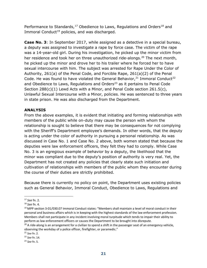Performance to Standards,<sup>[17](#page-22-0)</sup> Obedience to Laws, Regulations and Orders<sup>[18](#page-22-1)</sup> and Immoral Conduct<sup>[19](#page-22-2)</sup> policies, and was discharged.

**Case No. 3**: In September 2017, while assigned as a detective in a special bureau, a deputy was assigned to investigate a rape by force case. The victim of the rape was a 14-year-old girl. During his investigation, he picked up the minor victim from her residence and took her on three unauthorized ride-alongs.<sup>[20](#page-22-3)</sup> The next month, he picked up the minor and drove her to his trailer where he forced her to have sexual intercourse with him. The subject was arrested for Rape Under the Color of Authority, 261(a) of the Penal Code, and Forcible Rape, 261(a)(2) of the Penal Code. He was found to have violated the General Behavior,  $21$  Immoral Conduct<sup>[22](#page-22-5)</sup> and Obedience to Laws, Regulations and Orders<sup>[23](#page-22-6)</sup> as it pertains to Penal Code Section 288(c)(1) Lewd Acts with a Minor, and Penal Code section 261.5(c), Unlawful Sexual Intercourse with a Minor, policies. He was sentenced to three years in state prison. He was also discharged from the Department.

## **ANALYSIS**

From the above examples, it is evident that initiating and forming relationships with members of the public while on-duty may cause the person with whom the relationship is sought to believe that there may be consequences for not complying with the Sheriff's Department employee's demands. In other words, that the deputy is acting under the color of authority in pursuing a personal relationship. As was discussed in Case No. 1 and Case No. 2 above, both women stated that because the deputies were law enforcement officers, they felt they had to comply. While Case No. 3 is an egregious example of behavior by a deputy, the likelihood that the minor was compliant due to the deputy's position of authority is very real. Yet, the Department has not created any policies that clearly state such initiation and cultivation of relationships with members of the public whom they encounter during the course of their duties are strictly prohibited.

Because there is currently no policy on point, the Department uses existing policies such as General Behavior, Immoral Conduct, Obedience to Laws, Regulations and

<span id="page-22-0"></span><sup>17</sup> *See* fn. 2.

<span id="page-22-1"></span><sup>18</sup> *See* fn. 4.

<span id="page-22-2"></span><sup>&</sup>lt;sup>19</sup> MPP section 3-01/030.07 Immoral Conduct states: "Members shall maintain a level of moral conduct in their personal and business affairs which is in keeping with the highest standards of the law enforcement profession. Members shall not participate in any incident involving moral turpitude which tends to impair their ability to perform as law enforcement officers or causes the Department to be brought into disrepute.

<span id="page-22-3"></span> $20$  A ride-along is an arrangement for a civilian to spend a shift in the passenger seat of an emergency vehicle, observing the workday of a police officer, firefighter, or paramedic."

<span id="page-22-4"></span><sup>21</sup> *See* fn. 2.

<span id="page-22-5"></span><sup>22</sup> *See* fn. 14.

<span id="page-22-6"></span><sup>23</sup> *See* fn. 5.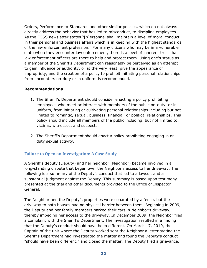Orders, Performance to Standards and other similar policies, which do not always directly address the behavior that has led to misconduct, to discipline employees. As the FOSS newsletter states "[p]ersonnel shall maintain a level of moral conduct in their personal and business affairs which is in keeping with the highest standards of the law enforcement profession." For many citizens who may be in a vulnerable state when they encounter law enforcement, there is a level of inherent trust that law enforcement officers are there to help and protect them. Using one's status as a member of the Sheriff's Department can reasonably be perceived as an attempt to gain influence or authority, or at the very least, give the appearance of impropriety, and the creation of a policy to prohibit initiating personal relationships from encounters on-duty or in uniform is recommended.

#### **Recommendations**

- 1. The Sheriff's Department should consider enacting a policy prohibiting employees who meet or interact with members of the public on-duty, or in uniform, from initiating or cultivating personal relationships including but not limited to romantic, sexual, business, financial, or political relationships. This policy should include all members of the public including, but not limited to, victims, witnesses, and suspects.
- 2. The Sheriff's Department should enact a policy prohibiting engaging in onduty sexual activity.

## <span id="page-23-0"></span>**Failure to Open an Investigation: A Case Study**

A Sheriff's deputy (Deputy) and her neighbor (Neighbor) became involved in a long-standing dispute that began over the Neighbor's access to her driveway. The following is a summary of the Deputy's conduct that led to a lawsuit and a substantial judgment against the Deputy. This summary is based upon testimony presented at the trial and other documents provided to the Office of Inspector General.

The Neighbor and the Deputy's properties were separated by a fence, but the driveway to both houses had no physical barrier between them. Beginning in 2009, the Deputy and her family members parked their cars in Neighbor's driveway, thereby impeding her access to the driveway. In December 2009, the Neighbor filed a complaint with the Sheriff's Department. The investigation resulted in a finding that the Deputy's conduct should have been different. On March 17, 2010, the Captain of the unit where the Deputy worked sent the Neighbor a letter stating the Sheriff's Department had investigated the matter and found the Deputy's conduct "should have been different," and closed the matter. The Deputy filed a grievance,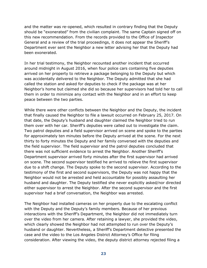and the matter was re-opened, which resulted in contrary finding that the Deputy should be "exonerated" from the civilian complaint. The same Captain signed off on this new recommendation. From the records provided to the Office of Inspector General and a review of the trial proceedings, it does not appear the Sheriff's Department ever sent the Neighbor a new letter advising her that the Deputy had been exonerated.

In her trial testimony, the Neighbor recounted another incident that occurred around midnight in August 2016, when four police cars containing five deputies arrived on her property to retrieve a package belonging to the Deputy but which was accidentally delivered to the Neighbor. The Deputy admitted that she had called the station and asked for deputies to check if the package was at her Neighbor's home but claimed she did so because her supervisors had told her to call them in order to minimize any contact with the Neighbor and in an effort to keep peace between the two parties.

While there were other conflicts between the Neighbor and the Deputy, the incident that finally caused the Neighbor to file a lawsuit occurred on February 25, 2017. On that date, the Deputy's husband and daughter claimed the Neighbor tried to run them over with her car. Sheriff's deputies were called out to investigate the claim. Two patrol deputies and a field supervisor arrived on scene and spoke to the parties for approximately ten minutes before the Deputy arrived at the scene. For the next thirty to forty minutes the Deputy and her family conversed with the deputies and the field supervisor. The field supervisor and the patrol deputies concluded that there was not sufficient evidence to arrest the Neighbor. Another Sheriff's Department supervisor arrived forty minutes after the first supervisor had arrived on scene. The second supervisor testified he arrived to relieve the first supervisor due to a shift change. The Deputy spoke to the second supervisor. According to the testimony of the first and second supervisors, the Deputy was not happy that the Neighbor would not be arrested and held accountable for possibly assaulting her husband and daughter. The Deputy testified she never explicitly asked/nor directed either supervisor to arrest the Neighbor. After the second supervisor and the first supervisor had a brief conversation, the Neighbor was arrested.

The Neighbor had installed cameras on her property due to the escalating conflict with the Deputy and the Deputy's family members. Because of her previous interactions with the Sheriff's Department, the Neighbor did not immediately turn over the video from her camera. After retaining a lawyer, she provided the video, which clearly showed the Neighbor had not attempted to run over the Deputy's husband or daughter. Nevertheless, a Sheriff's Department detective presented the case and the video to the Los Angeles District Attorney's Office for filing consideration. After viewing the video, the deputy district attorney rejected filing a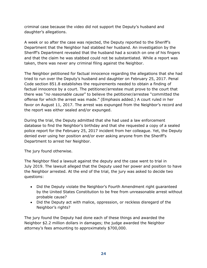criminal case because the video did not support the Deputy's husband and daughter's allegations.

A week or so after the case was rejected, the Deputy reported to the Sheriff's Department that the Neighbor had stabbed her husband. An investigation by the Sheriff's Department revealed that the husband had a scratch on one of his fingers and that the claim he was stabbed could not be substantiated. While a report was taken, there was never any criminal filing against the Neighbor.

The Neighbor petitioned for factual innocence regarding the allegations that she had tried to run over the Deputy's husband and daughter on February 25, 2017. Penal Code section 851.8 establishes the requirements needed to obtain a finding of factual innocence by a court. The petitioner/arrestee must prove to the court that there was "*no reasonable cause*" to believe the petitioner/arrestee "committed the offense for which the arrest was made." (Emphasis added.) A court ruled in her favor on August 11, 2017. The arrest was expunged from the Neighbor's record and the report was either sealed and/or expunged.

During the trial, the Deputy admitted that she had used a law enforcement database to find the Neighbor's birthday and that she requested a copy of a sealed police report for the February 25, 2017 incident from her colleague. Yet, the Deputy denied ever using her position and/or ever asking anyone from the Sheriff's Department to arrest her Neighbor.

The jury found otherwise.

The Neighbor filed a lawsuit against the deputy and the case went to trial in July 2019. The lawsuit alleged that the Deputy used her power and position to have the Neighbor arrested. At the end of the trial, the jury was asked to decide two questions:

- Did the Deputy violate the Neighbor's Fourth Amendment right guaranteed by the United States Constitution to be free from unreasonable arrest without probable cause?
- Did the Deputy act with malice, oppression, or reckless disregard of the Neighbor's rights?

The jury found the Deputy had done each of these things and awarded the Neighbor \$2.2 million dollars in damages; the judge awarded the Neighbor attorney's fees amounting to approximately \$700,000.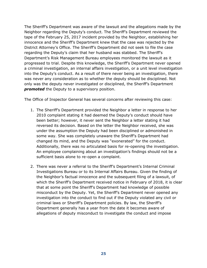The Sheriff's Department was aware of the lawsuit and the allegations made by the Neighbor regarding the Deputy's conduct. The Sheriff's Department reviewed the tape of the February 25, 2017 incident provided by the Neighbor, establishing her innocence and the Sheriff's Department knew that the case was rejected by the District Attorney's Office. The Sheriff's Department did not seek to file the case regarding the Deputy's claim that her husband was stabbed. The Sheriff's Department's Risk Management Bureau employees monitored the lawsuit as it progressed to trial. Despite this knowledge, the Sheriff's Department never opened a criminal investigation, an internal affairs investigation, or a unit level investigation into the Deputy's conduct. As a result of there never being an investigation, there was never any consideration as to whether the deputy should be disciplined. Not only was the deputy never investigated or disciplined, the Sheriff's Department *promoted* the Deputy to a supervisory position.

The Office of Inspector General has several concerns after reviewing this case:

- 1. The Sheriff's Department provided the Neighbor a letter in response to her 2010 complaint stating it had deemed the Deputy's conduct should have been better; however, it never sent the Neighbor a letter stating it had reversed its decision. Based on the letter the Neighbor received, she was under the assumption the Deputy had been disciplined or admonished in some way. She was completely unaware the Sheriff's Department had changed its mind, and the Deputy was "exonerated" for the conduct. Additionally, there was no articulated basis for re-opening the investigation. An employee complaining about an investigation's findings should not be a sufficient basis alone to re-open a complaint.
- 2. There was never a referral to the Sheriff's Department's Internal Criminal Investigations Bureau or to its Internal Affairs Bureau. Given the finding of the Neighbor's factual innocence and the subsequent filing of a lawsuit, of which the Sheriff's Department received notice in February of 2018, it is clear that at some point the Sheriff's Department had knowledge of possible misconduct by the Deputy. Yet, the Sheriff's Department never opened any investigation into the conduct to find out if the Deputy violated any civil or criminal laws or Sheriff's Department policies. By law, the Sheriff's Department generally has a year from the date it becomes aware of allegations of deputy misconduct to investigate the conduct and impose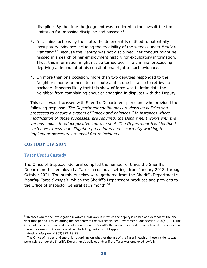discipline. By the time the judgment was rendered in the lawsuit the time limitation for imposing discipline had passed. $24$ 

- 3. In criminal actions by the state, the defendant is entitled to potentially exculpatory evidence including the credibility of the witness under *Brady v. Maryland*.[25](#page-27-3) Because the Deputy was not disciplined, her conduct might be missed in a search of her employment history for exculpatory information. Thus, this information might not be turned over in a criminal proceeding, depriving a defendant of his constitutional right to such evidence.
- 4. On more than one occasion, more than two deputies responded to the Neighbor's home to mediate a dispute and in one instance to retrieve a package. It seems likely that this show of force was to intimidate the Neighbor from complaining about or engaging in disputes with the Deputy.

This case was discussed with Sheriff's Department personnel who provided the following response: *The Department continuously reviews its policies and processes to ensure a system of "check and balances." In instances where modification of those processes, are required, the Department works with the various unions to effect positive improvement. The Department has identified such a weakness in its litigation procedures and is currently working to implement procedures to avoid future incidents.*

## <span id="page-27-0"></span>**CUSTODY DIVISION**

## <span id="page-27-1"></span>**Taser Use in Custody**

The Office of Inspector General compiled the number of times the Sheriff's Department has employed a Taser in custodial settings from January 2018, through October 2021. The numbers below were gathered from the Sheriff's Department's *Monthly Force Synopsis*, which the Sheriff's Department produces and provides to the Office of Inspector General each month.<sup>[26](#page-27-4)</sup>

<span id="page-27-2"></span> $24$  In cases where the investigation involves a civil lawsuit in which the deputy is named as a defendant, the oneyear time period is tolled during the pendency of the civil action. See Government Code section 3304(d)(2)(F). The Office of Inspector General does not know when the Sheriff's Department learned of the potential misconduct and therefore cannot opine as to whether the tolling period would apply.

<span id="page-27-3"></span><sup>25</sup> *Brady v. Maryland* (1963) 373 U.S. 83

<span id="page-27-4"></span><sup>&</sup>lt;sup>26</sup> The Office of Inspector General is not opining on whether the use of the Taser in each of these incidents was permissible under the Sheriff's Department's policies and/or if the Taser was employed lawfully.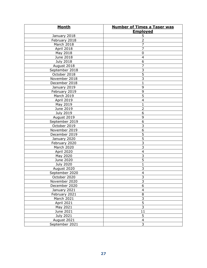| <b>Month</b>     | <b>Number of Times a Taser was</b> |
|------------------|------------------------------------|
|                  | <b>Employed</b>                    |
| January 2018     | 5                                  |
| February 2018    | $\overline{2}$                     |
| March 2018       | 7                                  |
| April 2018       | $\overline{7}$                     |
| May 2018         | $\pmb{0}$                          |
| June 2018        | $\overline{4}$                     |
| <b>July 2018</b> | 6                                  |
| August 2018      | $\overline{7}$                     |
| September 2018   | 3                                  |
| October 2018     | $\overline{5}$                     |
| November 2018    | $\overline{3}$                     |
| December 2018    | $\mathbf{1}$                       |
| January 2019     | 9                                  |
| February 2019    | 9                                  |
| March 2019       | $\overline{5}$                     |
| April 2019       | $\overline{4}$                     |
| May 2019         | 1                                  |
| June 2019        | $\overline{2}$                     |
| <b>July 2019</b> | 6                                  |
| August 2019      | 9                                  |
| September 2019   | $\overline{6}$                     |
| October 2019     | $\overline{3}$                     |
| November 2019    | $\overline{6}$                     |
| December 2019    | $\overline{5}$                     |
| January 2020     | $\overline{5}$                     |
| February 2020    | $\overline{3}$                     |
| March 2020       | $\overline{3}$                     |
| April 2020       | $\overline{\mathbf{4}}$            |
| May 2020         | 3                                  |
| June 2020        | $\overline{5}$                     |
| <b>July 2020</b> | $\mathbf{1}$                       |
| August 2020      | 3                                  |
| September 2020   | $\overline{4}$                     |
| October 2020     |                                    |
| November 2020    | $\frac{3}{3}$                      |
| December 2020    | $\overline{6}$                     |
| January 2021     | $\overline{\mathbf{4}}$            |
| February 2021    | $\overline{\mathbf{8}}$            |
| March 2021       |                                    |
|                  |                                    |
| April 2021       | $\frac{3}{5}$                      |
| May 2021         |                                    |
| June 2021        | 11                                 |
| July 2021        | 5                                  |
| August 2021      | $\overline{\mathbf{4}}$            |
| September 2021   | $\overline{3}$                     |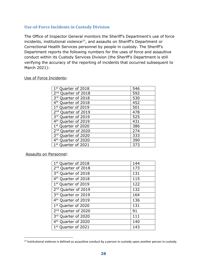## <span id="page-29-0"></span>**Use-of-Force Incidents in Custody Division**

The Office of Inspector General monitors the Sheriff's Department's use of force incidents, institutional violence $^{27}$  $^{27}$  $^{27}$ , and assaults on Sheriff's Department or Correctional Health Services personnel by people in custody. The Sheriff's Department reports the following numbers for the uses of force and assaultive conduct within its Custody Services Division (the Sheriff's Department is still verifying the accuracy of the reporting of incidents that occurred subsequent to March 2021):

#### Use of Force Incidents:

| 1 <sup>st</sup> Quarter of 2018 | 546 |
|---------------------------------|-----|
| 2 <sup>nd</sup> Quarter of 2018 | 592 |
| 3rd Quarter of 2018             | 530 |
| 4 <sup>th</sup> Quarter of 2018 | 452 |
| 1st Quarter of 2019             | 501 |
| 2 <sup>nd</sup> Quarter of 2019 | 478 |
| 3rd Quarter of 2019             | 525 |
| 4 <sup>th</sup> Quarter of 2019 | 431 |
| 1st Quarter of 2020             | 386 |
| 2 <sup>nd</sup> Quarter of 2020 | 274 |
| 3rd Quarter of 2020             | 333 |
| 4 <sup>th</sup> Quarter of 2020 | 390 |
| 1st Quarter of 2021             | 373 |

Assaults on Personnel:

| 1 <sup>st</sup> Quarter of 2018 | 144 |
|---------------------------------|-----|
| 2 <sup>nd</sup> Quarter of 2018 | 173 |
| 3rd Quarter of 2018             | 131 |
| 4 <sup>th</sup> Quarter of 2018 | 115 |
| 1 <sup>st</sup> Quarter of 2019 | 122 |
| 2 <sup>nd</sup> Quarter of 2019 | 132 |
| 3rd Quarter or 2019             | 164 |
| 4 <sup>th</sup> Quarter of 2019 | 136 |
| 1 <sup>st</sup> Quarter of 2020 | 131 |
| 2 <sup>nd</sup> Quarter of 2020 | 91  |
| 3rd Quarter of 2020             | 111 |
| 4 <sup>th</sup> Quarter of 2020 | 140 |
| 1st Quarter of 2021             | 143 |
|                                 |     |

<span id="page-29-1"></span> $27$  Institutional violence is defined as assaultive conduct by a person in custody upon another person in custody.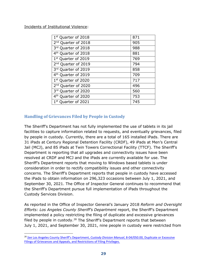Incidents of Institutional Violence:

| 1st Quarter of 2018             | 871 |
|---------------------------------|-----|
| 2 <sup>nd</sup> Quarter of 2018 | 905 |
| 3rd Quarter of 2018             | 988 |
| 4 <sup>th</sup> Quarter of 2018 | 881 |
| 1st Quarter of 2019             | 769 |
| 2 <sup>nd</sup> Quarter of 2019 | 794 |
| 3rd Quarter of 2019             | 858 |
| 4 <sup>th</sup> Quarter of 2019 | 709 |
| 1st Quarter of 2020             | 717 |
| 2 <sup>nd</sup> Quarter of 2020 | 496 |
| 3rd Quarter of 2020             | 560 |
| 4 <sup>th</sup> Quarter of 2020 | 753 |
| $1^{\rm st}$<br>Quarter of 2021 | 745 |

## <span id="page-30-0"></span>**Handling of Grievances Filed by People in Custody**

The Sheriff's Department has not fully implemented the use of tablets in its jail facilities to capture information related to requests, and eventually grievances, filed by people in custody. Currently, there are a total of 165 installed iPads. There are 31 iPads at Century Regional Detention Facility (CRDF), 49 iPads at Men's Central Jail (MCJ), and 85 iPads at Twin Towers Correctional Facility (TTCF). The Sheriff's Department is reporting that all upgrades and connectivity issues have been resolved at CRDF and MCJ and the iPads are currently available for use. The Sheriff's Department reports that moving to Windows based tablets is under consideration in order to rectify compatibility issues and other connectivity concerns. The Sheriff's Department reports that people in custody have accessed the iPads to obtain information on 296,323 occasions between July 1, 2021, and September 30, 2021. The Office of Inspector General continues to recommend that the Sheriff's Department pursue full implementation of iPads throughout the Custody Services Division.

As reported in the Office of Inspector General's January 2018 *Reform and Oversight Efforts: Los Angeles County Sheriff's Department* report, the Sheriff's Department implemented a policy restricting the filing of duplicate and excessive grievances filed by people in custody.<sup>[28](#page-30-1)</sup> The Sheriff's Department reports that between July 1, 2021, and September 30, 2021, nine people in custody were restricted from

<span id="page-30-1"></span><sup>28</sup> *See* [Los Angeles County Sheriff's Department,](http://pars.lasd.org/Viewer/Manuals/14249/Content/13670) *Custody Division Manual*, 8-04/050.00, Duplicate or Excessive [Filings of Grievances and Appeals, and Restrictions of Filing Privileges.](http://pars.lasd.org/Viewer/Manuals/14249/Content/13670)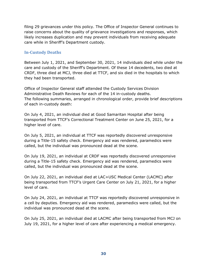filing 29 grievances under this policy. The Office of Inspector General continues to raise concerns about the quality of grievance investigations and responses, which likely increases duplication and may prevent individuals from receiving adequate care while in Sheriff's Department custody.

## <span id="page-31-0"></span>**In-Custody Deaths**

Between July 1, 2021, and September 30, 2021, 14 individuals died while under the care and custody of the Sheriff's Department. Of these 14 decedents, two died at CRDF, three died at MCJ, three died at TTCF, and six died in the hospitals to which they had been transported.

Office of Inspector General staff attended the Custody Services Division Administrative Death Reviews for each of the 14 in-custody deaths. The following summaries, arranged in chronological order, provide brief descriptions of each in-custody death:

On July 4, 2021, an individual died at Good Samaritan Hospital after being transported from TTCF's Correctional Treatment Center on June 25, 2021, for a higher level of care.

On July 5, 2021, an individual at TTCF was reportedly discovered unresponsive during a Title-15 safety check. Emergency aid was rendered, paramedics were called, but the individual was pronounced dead at the scene.

On July 19, 2021, an individual at CRDF was reportedly discovered unresponsive during a Title-15 safety check. Emergency aid was rendered, paramedics were called, but the individual was pronounced dead at the scene.

On July 22, 2021, an individual died at LAC+USC Medical Center (LACMC) after being transported from TTCF's Urgent Care Center on July 21, 2021, for a higher level of care.

On July 24, 2021, an individual at TTCF was reportedly discovered unresponsive in a cell by deputies. Emergency aid was rendered, paramedics were called, but the individual was pronounced dead at the scene.

On July 25, 2021, an individual died at LACMC after being transported from MCJ on July 19, 2021, for a higher level of care after experiencing a medical emergency.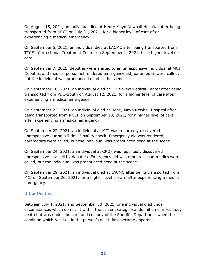On August 15, 2021, an individual died at Henry Mayo Newhall Hospital after being transported from NCCF on July 31, 2021, for a higher level of care after experiencing a medical emergency.

On September 5, 2021, an individual died at LACMC after being transported from TTCF's Correctional Treatment Center on September 1, 2021, for a higher level of care.

On September 7, 2021, deputies were alerted to an unresponsive individual at MCJ. Deputies and medical personnel rendered emergency aid, paramedics were called, but the individual was pronounced dead at the scene.

On September 18, 2021, an individual died at Olive View Medical Center after being transported from PDC-South on August 12, 2021, for a higher level of care after experiencing a medical emergency.

On September 22, 2021, an individual died at Henry Mayo Newhall Hospital after being transported from NCCF on September 10, 2021, for a higher level of care after experiencing a medical emergency.

On September 22, 2021, an individual at MCJ was reportedly discovered unresponsive during a Title-15 safety check. Emergency aid was rendered, paramedics were called, but the individual was pronounced dead at the scene.

On September 24, 2021, an individual at CRDF was reportedly discovered unresponsive in a cell by deputies. Emergency aid was rendered, paramedics were called, but the individual was pronounced dead at the scene.

On September 29, 2021, an individual died at LACMC after being transported from MCJ on September 26, 2021, for a higher level of care after experiencing a medical emergency.

#### <span id="page-32-0"></span>**Other Deaths**

Between July 1, 2021, and September 30, 2021, one individual died under circumstances which do not fit within the current categorical definition of in-custody death but was under the care and custody of the Sheriff's Department when the condition which resulted in the person's death first became apparent.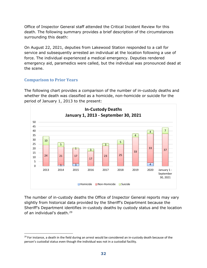Office of Inspector General staff attended the Critical Incident Review for this death. The following summary provides a brief description of the circumstances surrounding this death:

On August 22, 2021, deputies from Lakewood Station responded to a call for service and subsequently arrested an individual at the location following a use of force. The individual experienced a medical emergency. Deputies rendered emergency aid, paramedics were called, but the individual was pronounced dead at the scene.

## **Comparison to Prior Years**

The following chart provides a comparison of the number of in-custody deaths and whether the death was classified as a homicide, non-homicide or suicide for the period of January 1, 2013 to the present:



The number of in-custody deaths the Office of Inspector General reports may vary slightly from historical data provided by the Sheriff's Department because the Sheriff's Department identifies in-custody deaths by custody status and the location of an individual's death.[29](#page-33-0)

<span id="page-33-0"></span> $29$  For instance, a death in the field during an arrest would be considered an in-custody death because of the person's custodial status even though the individual was not in a custodial facility.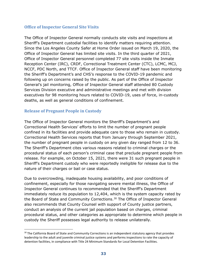#### <span id="page-34-0"></span>**Office of Inspector General Site Visits**

The Office of Inspector General normally conducts site visits and inspections at Sheriff's Department custodial facilities to identify matters requiring attention. Since the Los Angeles County Safer at Home Order issued on March 19, 2020, the Office of Inspector General has limited site visits. In the third quarter of 2021, Office of Inspector General personnel completed 77 site visits inside the Inmate Reception Center (IRC), CRDF, Correctional Treatment Center (CTC), LCMC, MCJ, NCCF, PDC North, and TTCF. Office of Inspector General staff have been monitoring the Sheriff's Department's and CHS's response to the COVID-19 pandemic and following up on concerns raised by the public. As part of the Office of Inspector General's jail monitoring, Office of Inspector General staff attended 80 Custody Services Division executive and administrative meetings and met with division executives for 98 monitoring hours related to COVID-19, uses of force, in-custody deaths, as well as general conditions of confinement.

#### <span id="page-34-1"></span>**Release of Pregnant People in Custody**

The Office of Inspector General monitors the Sheriff's Department's and Correctional Health Services' efforts to limit the number of pregnant people confined in its facilities and provide adequate care to those who remain in custody. Correctional Health Services reports that from January through September 2021, the number of pregnant people in custody on any given day ranged from 12 to 36. The Sheriff's Department cites various reasons related to criminal charges or the procedural status of each person's criminal case that preclude pregnant people from release. For example, on October 15, 2021, there were 31 such pregnant people in Sheriff's Department custody who were reportedly ineligible for release due to the nature of their charges or bail or case status.

Due to overcrowding, inadequate housing availability, and poor conditions of confinement, especially for those navigating severe mental illness, the Office of Inspector General continues to recommended that the Sheriff's Department immediately reduce its population to 12,404, which is the system capacity rated by the Board of State and Community Corrections.<sup>[30](#page-34-2)</sup> The Office of Inspector General also recommends that County Counsel with support of County justice partners, conduct an analysis of the current jail population based on charges, criminal procedural status, and other categories as appropriate to determine which people in custody the Sheriff possesses legal authority to release unilaterally.

<span id="page-34-2"></span><sup>&</sup>lt;sup>30</sup> The California Board of State and Community Corrections is an independent statutory agency that provides leadership to the adult and juvenile criminal justice systems and performs inspections to rate the capacity of detention facilities, in compliance with Title 24 Minimum Standards for Local Detention Facilities.